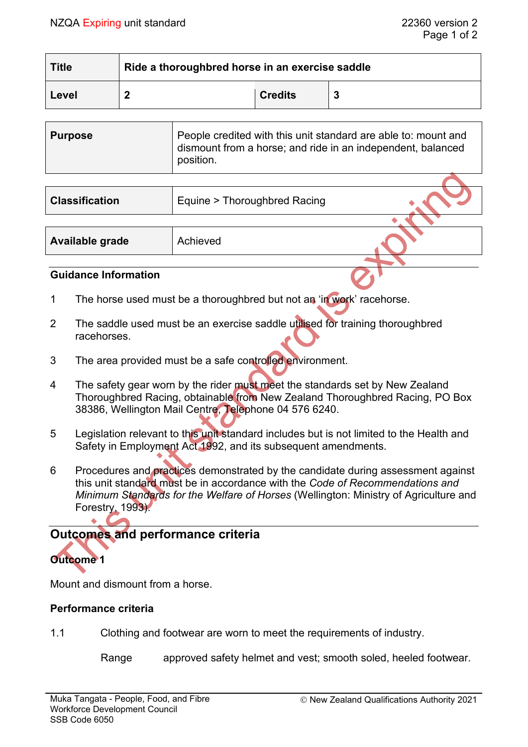| <b>Title</b> | Ride a thoroughbred horse in an exercise saddle |                |  |
|--------------|-------------------------------------------------|----------------|--|
| Level        |                                                 | <b>Credits</b> |  |

| <b>Purpose</b> | People credited with this unit standard are able to: mount and<br>dismount from a horse; and ride in an independent, balanced<br>position. |
|----------------|--------------------------------------------------------------------------------------------------------------------------------------------|
|                |                                                                                                                                            |

| <b>Classification</b> | Equine > Thoroughbred Racing |  |
|-----------------------|------------------------------|--|
|                       |                              |  |
| Available grade       | Achieved                     |  |
|                       |                              |  |

## **Guidance Information**

- 1 The horse used must be a thoroughbred but not an 'in work' racehorse.
- 2 The saddle used must be an exercise saddle utilised for training thoroughbred racehorses.
- 3 The area provided must be a safe controlled environment.
- 4 The safety gear worn by the rider must meet the standards set by New Zealand Thoroughbred Racing, obtainable from New Zealand Thoroughbred Racing, PO Box 38386, Wellington Mail Centre, Telephone 04 576 6240.
- 5 Legislation relevant to this unit standard includes but is not limited to the Health and Safety in Employment Act 1992, and its subsequent amendments.
- 6 Procedures and practices demonstrated by the candidate during assessment against this unit standard must be in accordance with the *Code of Recommendations and Minimum Standards for the Welfare of Horses* (Wellington: Ministry of Agriculture and Forestry, 1993).

# **Outcomes and performance criteria**



Mount and dismount from a horse.

## **Performance criteria**

1.1 Clothing and footwear are worn to meet the requirements of industry.

Range approved safety helmet and vest; smooth soled, heeled footwear.